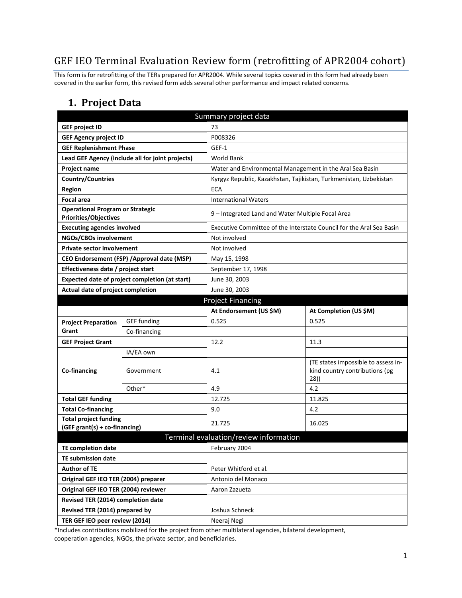# GEF IEO Terminal Evaluation Review form (retrofitting of APR2004 cohort)

This form is for retrofitting of the TERs prepared for APR2004. While several topics covered in this form had already been covered in the earlier form, this revised form adds several other performance and impact related concerns.

### **1. Project Data**

|                                                                         | Summary project data                             |                                                          |                                                                              |  |  |
|-------------------------------------------------------------------------|--------------------------------------------------|----------------------------------------------------------|------------------------------------------------------------------------------|--|--|
| <b>GEF project ID</b>                                                   |                                                  | 73                                                       |                                                                              |  |  |
| <b>GEF Agency project ID</b>                                            |                                                  | P008326                                                  |                                                                              |  |  |
| <b>GEF Replenishment Phase</b>                                          |                                                  | GEF-1                                                    |                                                                              |  |  |
|                                                                         | Lead GEF Agency (include all for joint projects) | <b>World Bank</b>                                        |                                                                              |  |  |
| Project name                                                            |                                                  | Water and Environmental Management in the Aral Sea Basin |                                                                              |  |  |
| <b>Country/Countries</b>                                                |                                                  |                                                          | Kyrgyz Republic, Kazakhstan, Tajikistan, Turkmenistan, Uzbekistan            |  |  |
| <b>Region</b>                                                           |                                                  | <b>ECA</b>                                               |                                                                              |  |  |
| <b>Focal area</b>                                                       |                                                  | <b>International Waters</b>                              |                                                                              |  |  |
| <b>Operational Program or Strategic</b><br><b>Priorities/Objectives</b> |                                                  | 9 - Integrated Land and Water Multiple Focal Area        |                                                                              |  |  |
| <b>Executing agencies involved</b>                                      |                                                  |                                                          | Executive Committee of the Interstate Council for the Aral Sea Basin         |  |  |
| NGOs/CBOs involvement                                                   |                                                  | Not involved                                             |                                                                              |  |  |
| <b>Private sector involvement</b>                                       |                                                  | Not involved                                             |                                                                              |  |  |
|                                                                         | CEO Endorsement (FSP) / Approval date (MSP)      | May 15, 1998                                             |                                                                              |  |  |
| Effectiveness date / project start                                      |                                                  | September 17, 1998                                       |                                                                              |  |  |
| Expected date of project completion (at start)                          |                                                  | June 30, 2003                                            |                                                                              |  |  |
| Actual date of project completion                                       |                                                  | June 30, 2003                                            |                                                                              |  |  |
|                                                                         |                                                  | <b>Project Financing</b>                                 |                                                                              |  |  |
|                                                                         |                                                  | At Endorsement (US \$M)                                  | At Completion (US \$M)                                                       |  |  |
| <b>Project Preparation</b>                                              | <b>GEF</b> funding                               | 0.525                                                    | 0.525                                                                        |  |  |
| Grant                                                                   | Co-financing                                     |                                                          |                                                                              |  |  |
| <b>GEF Project Grant</b>                                                |                                                  | 12.2                                                     | 11.3                                                                         |  |  |
|                                                                         | IA/EA own                                        |                                                          |                                                                              |  |  |
| Co-financing                                                            | Government                                       | 4.1                                                      | (TE states impossible to assess in-<br>kind country contributions (pg<br>28) |  |  |
|                                                                         | Other*                                           | 4.9                                                      | 4.2                                                                          |  |  |
| <b>Total GEF funding</b>                                                |                                                  | 12.725                                                   | 11.825                                                                       |  |  |
| <b>Total Co-financing</b>                                               |                                                  | 9.0                                                      | 4.2                                                                          |  |  |
| <b>Total project funding</b><br>(GEF grant(s) + co-financing)           |                                                  | 21.725                                                   | 16.025                                                                       |  |  |
|                                                                         |                                                  | Terminal evaluation/review information                   |                                                                              |  |  |
| <b>TE completion date</b>                                               |                                                  | February 2004                                            |                                                                              |  |  |
| <b>TE submission date</b>                                               |                                                  |                                                          |                                                                              |  |  |
| <b>Author of TE</b>                                                     |                                                  | Peter Whitford et al.                                    |                                                                              |  |  |
| Original GEF IEO TER (2004) preparer                                    |                                                  | Antonio del Monaco                                       |                                                                              |  |  |
| Original GEF IEO TER (2004) reviewer                                    |                                                  | Aaron Zazueta                                            |                                                                              |  |  |
| Revised TER (2014) completion date                                      |                                                  |                                                          |                                                                              |  |  |
| Revised TER (2014) prepared by                                          |                                                  | Joshua Schneck                                           |                                                                              |  |  |
| TER GEF IEO peer review (2014)                                          |                                                  | Neeraj Negi                                              |                                                                              |  |  |

\*Includes contributions mobilized for the project from other multilateral agencies, bilateral development, cooperation agencies, NGOs, the private sector, and beneficiaries.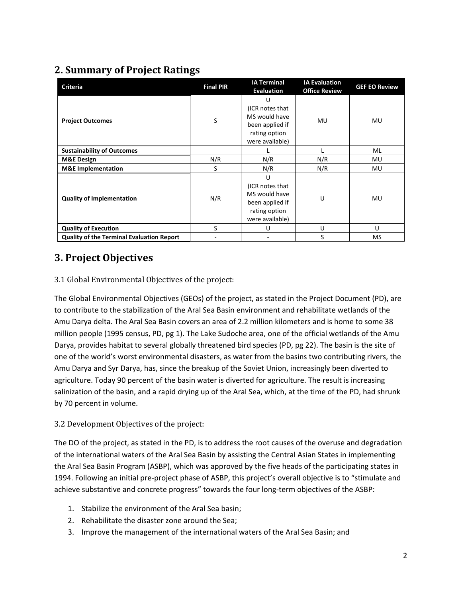# **2. Summary of Project Ratings**

| <b>Criteria</b>                           | <b>Final PIR</b> | <b>IA Terminal</b><br><b>Evaluation</b>                                                      | <b>IA Evaluation</b><br><b>Office Review</b> | <b>GEF EO Review</b> |
|-------------------------------------------|------------------|----------------------------------------------------------------------------------------------|----------------------------------------------|----------------------|
| <b>Project Outcomes</b>                   | S                | U<br>(ICR notes that<br>MS would have<br>been applied if<br>rating option<br>were available) | <b>MU</b>                                    | <b>MU</b>            |
| <b>Sustainability of Outcomes</b>         |                  |                                                                                              |                                              | ML                   |
| <b>M&amp;E Design</b>                     | N/R              | N/R                                                                                          | N/R                                          | MU                   |
| <b>M&amp;E</b> Implementation             | S                | N/R                                                                                          | N/R                                          | MU                   |
| <b>Quality of Implementation</b>          | N/R              | U<br>(ICR notes that<br>MS would have<br>been applied if<br>rating option<br>were available) | U                                            | MU                   |
| <b>Quality of Execution</b>               | S                | U                                                                                            | U                                            | $\cup$               |
| Quality of the Terminal Evaluation Report |                  |                                                                                              | S                                            | <b>MS</b>            |

## **3. Project Objectives**

#### 3.1 Global Environmental Objectives of the project:

The Global Environmental Objectives (GEOs) of the project, as stated in the Project Document (PD), are to contribute to the stabilization of the Aral Sea Basin environment and rehabilitate wetlands of the Amu Darya delta. The Aral Sea Basin covers an area of 2.2 million kilometers and is home to some 38 million people (1995 census, PD, pg 1). The Lake Sudoche area, one of the official wetlands of the Amu Darya, provides habitat to several globally threatened bird species (PD, pg 22). The basin is the site of one of the world's worst environmental disasters, as water from the basins two contributing rivers, the Amu Darya and Syr Darya, has, since the breakup of the Soviet Union, increasingly been diverted to agriculture. Today 90 percent of the basin water is diverted for agriculture. The result is increasing salinization of the basin, and a rapid drying up of the Aral Sea, which, at the time of the PD, had shrunk by 70 percent in volume.

#### 3.2 Development Objectives of the project:

The DO of the project, as stated in the PD, is to address the root causes of the overuse and degradation of the international waters of the Aral Sea Basin by assisting the Central Asian States in implementing the Aral Sea Basin Program (ASBP), which was approved by the five heads of the participating states in 1994. Following an initial pre-project phase of ASBP, this project's overall objective is to "stimulate and achieve substantive and concrete progress" towards the four long-term objectives of the ASBP:

- 1. Stabilize the environment of the Aral Sea basin;
- 2. Rehabilitate the disaster zone around the Sea;
- 3. Improve the management of the international waters of the Aral Sea Basin; and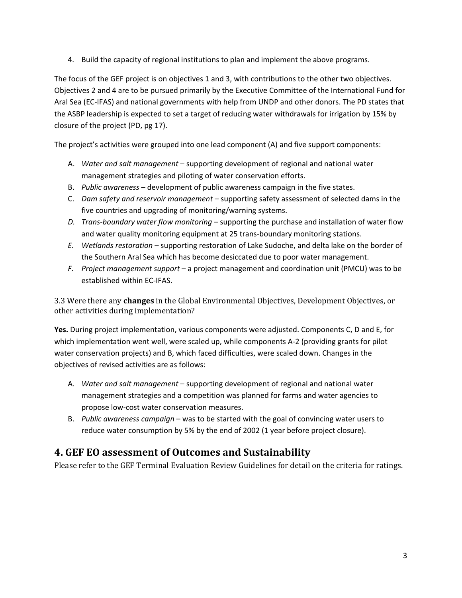4. Build the capacity of regional institutions to plan and implement the above programs.

The focus of the GEF project is on objectives 1 and 3, with contributions to the other two objectives. Objectives 2 and 4 are to be pursued primarily by the Executive Committee of the International Fund for Aral Sea (EC-IFAS) and national governments with help from UNDP and other donors. The PD states that the ASBP leadership is expected to set a target of reducing water withdrawals for irrigation by 15% by closure of the project (PD, pg 17).

The project's activities were grouped into one lead component (A) and five support components:

- A. *Water and salt management* supporting development of regional and national water management strategies and piloting of water conservation efforts.
- B. *Public awareness* development of public awareness campaign in the five states.
- C. *Dam safety and reservoir management* supporting safety assessment of selected dams in the five countries and upgrading of monitoring/warning systems.
- *D. Trans-boundary water flow monitoring* supporting the purchase and installation of water flow and water quality monitoring equipment at 25 trans-boundary monitoring stations.
- *E. Wetlands restoration* supporting restoration of Lake Sudoche, and delta lake on the border of the Southern Aral Sea which has become desiccated due to poor water management.
- *F. Project management support* a project management and coordination unit (PMCU) was to be established within EC-IFAS.

3.3 Were there any **changes** in the Global Environmental Objectives, Development Objectives, or other activities during implementation?

**Yes.** During project implementation, various components were adjusted. Components C, D and E, for which implementation went well, were scaled up, while components A-2 (providing grants for pilot water conservation projects) and B, which faced difficulties, were scaled down. Changes in the objectives of revised activities are as follows:

- A. *Water and salt management* supporting development of regional and national water management strategies and a competition was planned for farms and water agencies to propose low-cost water conservation measures.
- B. *Public awareness campaign* was to be started with the goal of convincing water users to reduce water consumption by 5% by the end of 2002 (1 year before project closure).

## **4. GEF EO assessment of Outcomes and Sustainability**

Please refer to the GEF Terminal Evaluation Review Guidelines for detail on the criteria for ratings.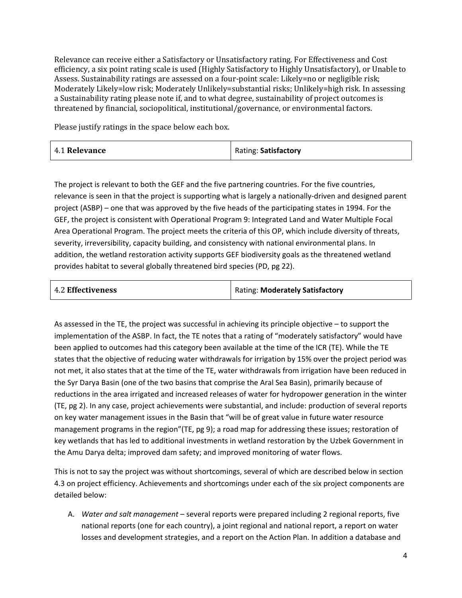Relevance can receive either a Satisfactory or Unsatisfactory rating. For Effectiveness and Cost efficiency, a six point rating scale is used (Highly Satisfactory to Highly Unsatisfactory), or Unable to Assess. Sustainability ratings are assessed on a four-point scale: Likely=no or negligible risk; Moderately Likely=low risk; Moderately Unlikely=substantial risks; Unlikely=high risk. In assessing a Sustainability rating please note if, and to what degree, sustainability of project outcomes is threatened by financial, sociopolitical, institutional/governance, or environmental factors.

Please justify ratings in the space below each box.

| 4.1 Relevance | Rating: Satisfactory |
|---------------|----------------------|
|---------------|----------------------|

The project is relevant to both the GEF and the five partnering countries. For the five countries, relevance is seen in that the project is supporting what is largely a nationally-driven and designed parent project (ASBP) – one that was approved by the five heads of the participating states in 1994. For the GEF, the project is consistent with Operational Program 9: Integrated Land and Water Multiple Focal Area Operational Program. The project meets the criteria of this OP, which include diversity of threats, severity, irreversibility, capacity building, and consistency with national environmental plans. In addition, the wetland restoration activity supports GEF biodiversity goals as the threatened wetland provides habitat to several globally threatened bird species (PD, pg 22).

As assessed in the TE, the project was successful in achieving its principle objective – to support the implementation of the ASBP. In fact, the TE notes that a rating of "moderately satisfactory" would have been applied to outcomes had this category been available at the time of the ICR (TE). While the TE states that the objective of reducing water withdrawals for irrigation by 15% over the project period was not met, it also states that at the time of the TE, water withdrawals from irrigation have been reduced in the Syr Darya Basin (one of the two basins that comprise the Aral Sea Basin), primarily because of reductions in the area irrigated and increased releases of water for hydropower generation in the winter (TE, pg 2). In any case, project achievements were substantial, and include: production of several reports on key water management issues in the Basin that "will be of great value in future water resource management programs in the region"(TE, pg 9); a road map for addressing these issues; restoration of key wetlands that has led to additional investments in wetland restoration by the Uzbek Government in the Amu Darya delta; improved dam safety; and improved monitoring of water flows.

This is not to say the project was without shortcomings, several of which are described below in section 4.3 on project efficiency. Achievements and shortcomings under each of the six project components are detailed below:

A. *Water and salt management* – several reports were prepared including 2 regional reports, five national reports (one for each country), a joint regional and national report, a report on water losses and development strategies, and a report on the Action Plan. In addition a database and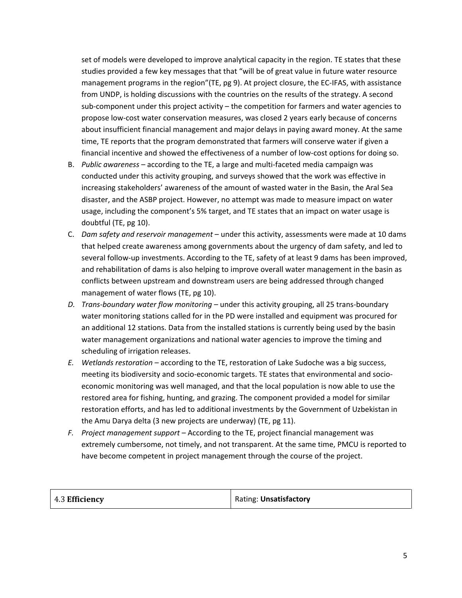set of models were developed to improve analytical capacity in the region. TE states that these studies provided a few key messages that that "will be of great value in future water resource management programs in the region"(TE, pg 9). At project closure, the EC-IFAS, with assistance from UNDP, is holding discussions with the countries on the results of the strategy. A second sub-component under this project activity – the competition for farmers and water agencies to propose low-cost water conservation measures, was closed 2 years early because of concerns about insufficient financial management and major delays in paying award money. At the same time, TE reports that the program demonstrated that farmers will conserve water if given a financial incentive and showed the effectiveness of a number of low-cost options for doing so.

- B. *Public awareness* according to the TE, a large and multi-faceted media campaign was conducted under this activity grouping, and surveys showed that the work was effective in increasing stakeholders' awareness of the amount of wasted water in the Basin, the Aral Sea disaster, and the ASBP project. However, no attempt was made to measure impact on water usage, including the component's 5% target, and TE states that an impact on water usage is doubtful (TE, pg 10).
- C. *Dam safety and reservoir management* under this activity, assessments were made at 10 dams that helped create awareness among governments about the urgency of dam safety, and led to several follow-up investments. According to the TE, safety of at least 9 dams has been improved, and rehabilitation of dams is also helping to improve overall water management in the basin as conflicts between upstream and downstream users are being addressed through changed management of water flows (TE, pg 10).
- *D. Trans-boundary water flow monitoring* under this activity grouping, all 25 trans-boundary water monitoring stations called for in the PD were installed and equipment was procured for an additional 12 stations. Data from the installed stations is currently being used by the basin water management organizations and national water agencies to improve the timing and scheduling of irrigation releases.
- *E. Wetlands restoration* according to the TE, restoration of Lake Sudoche was a big success, meeting its biodiversity and socio-economic targets. TE states that environmental and socioeconomic monitoring was well managed, and that the local population is now able to use the restored area for fishing, hunting, and grazing. The component provided a model for similar restoration efforts, and has led to additional investments by the Government of Uzbekistan in the Amu Darya delta (3 new projects are underway) (TE, pg 11).
- *F. Project management support* According to the TE, project financial management was extremely cumbersome, not timely, and not transparent. At the same time, PMCU is reported to have become competent in project management through the course of the project.

| 4.3 Efficiency | Rating: Unsatisfactory |
|----------------|------------------------|
|----------------|------------------------|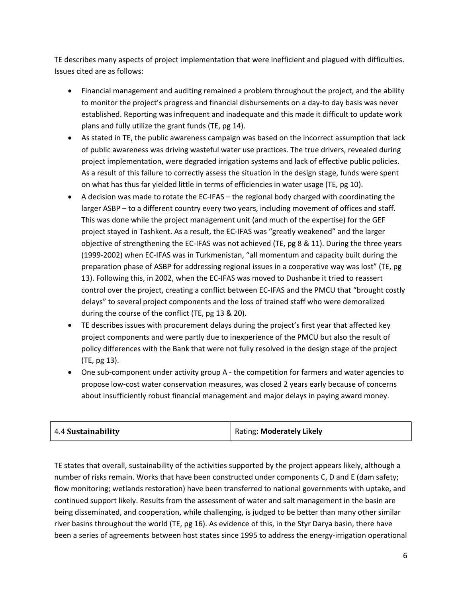TE describes many aspects of project implementation that were inefficient and plagued with difficulties. Issues cited are as follows:

- Financial management and auditing remained a problem throughout the project, and the ability to monitor the project's progress and financial disbursements on a day-to day basis was never established. Reporting was infrequent and inadequate and this made it difficult to update work plans and fully utilize the grant funds (TE, pg 14).
- As stated in TE, the public awareness campaign was based on the incorrect assumption that lack of public awareness was driving wasteful water use practices. The true drivers, revealed during project implementation, were degraded irrigation systems and lack of effective public policies. As a result of this failure to correctly assess the situation in the design stage, funds were spent on what has thus far yielded little in terms of efficiencies in water usage (TE, pg 10).
- A decision was made to rotate the EC-IFAS the regional body charged with coordinating the larger ASBP – to a different country every two years, including movement of offices and staff. This was done while the project management unit (and much of the expertise) for the GEF project stayed in Tashkent. As a result, the EC-IFAS was "greatly weakened" and the larger objective of strengthening the EC-IFAS was not achieved (TE, pg 8 & 11). During the three years (1999-2002) when EC-IFAS was in Turkmenistan, "all momentum and capacity built during the preparation phase of ASBP for addressing regional issues in a cooperative way was lost" (TE, pg 13). Following this, in 2002, when the EC-IFAS was moved to Dushanbe it tried to reassert control over the project, creating a conflict between EC-IFAS and the PMCU that "brought costly delays" to several project components and the loss of trained staff who were demoralized during the course of the conflict (TE, pg 13 & 20).
- TE describes issues with procurement delays during the project's first year that affected key project components and were partly due to inexperience of the PMCU but also the result of policy differences with the Bank that were not fully resolved in the design stage of the project (TE, pg 13).
- One sub-component under activity group A the competition for farmers and water agencies to propose low-cost water conservation measures, was closed 2 years early because of concerns about insufficiently robust financial management and major delays in paying award money.

| 4.4 Sustainability | Rating: Moderately Likely |
|--------------------|---------------------------|
|--------------------|---------------------------|

TE states that overall, sustainability of the activities supported by the project appears likely, although a number of risks remain. Works that have been constructed under components C, D and E (dam safety; flow monitoring; wetlands restoration) have been transferred to national governments with uptake, and continued support likely. Results from the assessment of water and salt management in the basin are being disseminated, and cooperation, while challenging, is judged to be better than many other similar river basins throughout the world (TE, pg 16). As evidence of this, in the Styr Darya basin, there have been a series of agreements between host states since 1995 to address the energy-irrigation operational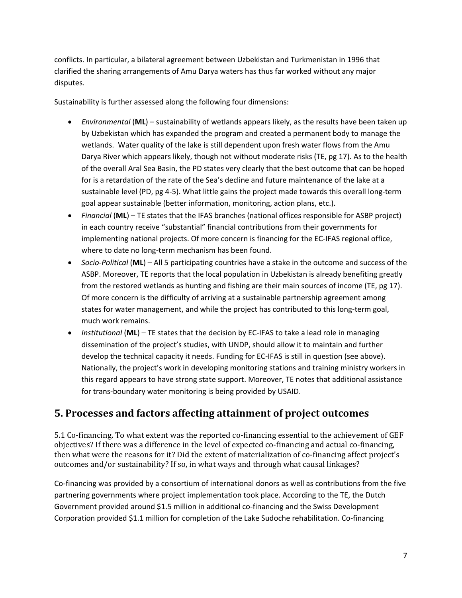conflicts. In particular, a bilateral agreement between Uzbekistan and Turkmenistan in 1996 that clarified the sharing arrangements of Amu Darya waters has thus far worked without any major disputes.

Sustainability is further assessed along the following four dimensions:

- *Environmental* (**ML**) sustainability of wetlands appears likely, as the results have been taken up by Uzbekistan which has expanded the program and created a permanent body to manage the wetlands. Water quality of the lake is still dependent upon fresh water flows from the Amu Darya River which appears likely, though not without moderate risks (TE, pg 17). As to the health of the overall Aral Sea Basin, the PD states very clearly that the best outcome that can be hoped for is a retardation of the rate of the Sea's decline and future maintenance of the lake at a sustainable level (PD, pg 4-5). What little gains the project made towards this overall long-term goal appear sustainable (better information, monitoring, action plans, etc.).
- *Financial* (**ML**) TE states that the IFAS branches (national offices responsible for ASBP project) in each country receive "substantial" financial contributions from their governments for implementing national projects. Of more concern is financing for the EC-IFAS regional office, where to date no long-term mechanism has been found.
- *Socio-Political* (**ML**) All 5 participating countries have a stake in the outcome and success of the ASBP. Moreover, TE reports that the local population in Uzbekistan is already benefiting greatly from the restored wetlands as hunting and fishing are their main sources of income (TE, pg 17). Of more concern is the difficulty of arriving at a sustainable partnership agreement among states for water management, and while the project has contributed to this long-term goal, much work remains.
- *Institutional* (**ML**) TE states that the decision by EC-IFAS to take a lead role in managing dissemination of the project's studies, with UNDP, should allow it to maintain and further develop the technical capacity it needs. Funding for EC-IFAS is still in question (see above). Nationally, the project's work in developing monitoring stations and training ministry workers in this regard appears to have strong state support. Moreover, TE notes that additional assistance for trans-boundary water monitoring is being provided by USAID.

## **5. Processes and factors affecting attainment of project outcomes**

5.1 Co-financing. To what extent was the reported co-financing essential to the achievement of GEF objectives? If there was a difference in the level of expected co-financing and actual co-financing, then what were the reasons for it? Did the extent of materialization of co-financing affect project's outcomes and/or sustainability? If so, in what ways and through what causal linkages?

Co-financing was provided by a consortium of international donors as well as contributions from the five partnering governments where project implementation took place. According to the TE, the Dutch Government provided around \$1.5 million in additional co-financing and the Swiss Development Corporation provided \$1.1 million for completion of the Lake Sudoche rehabilitation. Co-financing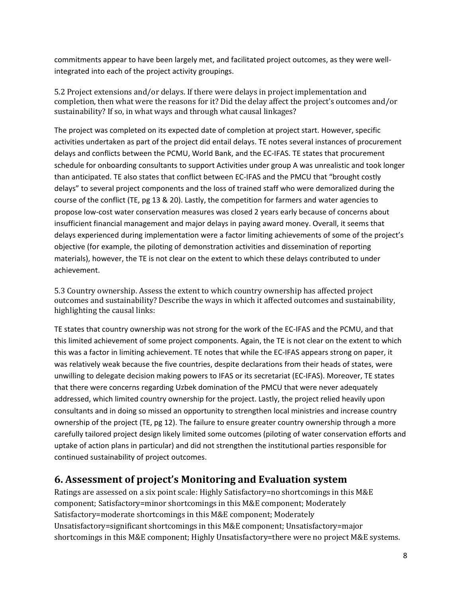commitments appear to have been largely met, and facilitated project outcomes, as they were wellintegrated into each of the project activity groupings.

5.2 Project extensions and/or delays. If there were delays in project implementation and completion, then what were the reasons for it? Did the delay affect the project's outcomes and/or sustainability? If so, in what ways and through what causal linkages?

The project was completed on its expected date of completion at project start. However, specific activities undertaken as part of the project did entail delays. TE notes several instances of procurement delays and conflicts between the PCMU, World Bank, and the EC-IFAS. TE states that procurement schedule for onboarding consultants to support Activities under group A was unrealistic and took longer than anticipated. TE also states that conflict between EC-IFAS and the PMCU that "brought costly delays" to several project components and the loss of trained staff who were demoralized during the course of the conflict (TE, pg 13 & 20). Lastly, the competition for farmers and water agencies to propose low-cost water conservation measures was closed 2 years early because of concerns about insufficient financial management and major delays in paying award money. Overall, it seems that delays experienced during implementation were a factor limiting achievements of some of the project's objective (for example, the piloting of demonstration activities and dissemination of reporting materials), however, the TE is not clear on the extent to which these delays contributed to under achievement.

5.3 Country ownership. Assess the extent to which country ownership has affected project outcomes and sustainability? Describe the ways in which it affected outcomes and sustainability, highlighting the causal links:

TE states that country ownership was not strong for the work of the EC-IFAS and the PCMU, and that this limited achievement of some project components. Again, the TE is not clear on the extent to which this was a factor in limiting achievement. TE notes that while the EC-IFAS appears strong on paper, it was relatively weak because the five countries, despite declarations from their heads of states, were unwilling to delegate decision making powers to IFAS or its secretariat (EC-IFAS). Moreover, TE states that there were concerns regarding Uzbek domination of the PMCU that were never adequately addressed, which limited country ownership for the project. Lastly, the project relied heavily upon consultants and in doing so missed an opportunity to strengthen local ministries and increase country ownership of the project (TE, pg 12). The failure to ensure greater country ownership through a more carefully tailored project design likely limited some outcomes (piloting of water conservation efforts and uptake of action plans in particular) and did not strengthen the institutional parties responsible for continued sustainability of project outcomes.

### **6. Assessment of project's Monitoring and Evaluation system**

Ratings are assessed on a six point scale: Highly Satisfactory=no shortcomings in this M&E component; Satisfactory=minor shortcomings in this M&E component; Moderately Satisfactory=moderate shortcomings in this M&E component; Moderately Unsatisfactory=significant shortcomings in this M&E component; Unsatisfactory=major shortcomings in this M&E component; Highly Unsatisfactory=there were no project M&E systems.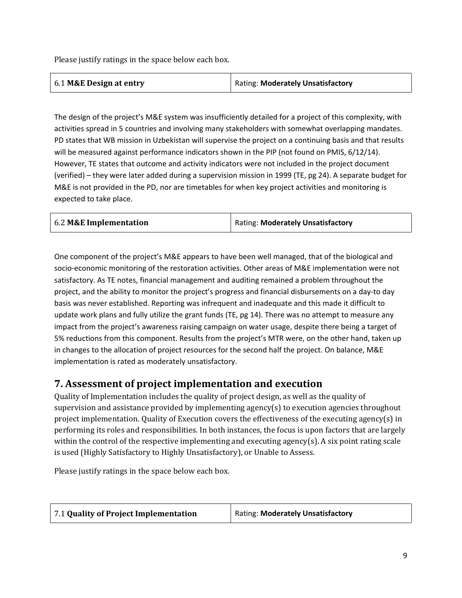Please justify ratings in the space below each box.

| 6.1 M&E Design at entry | Rating: Moderately Unsatisfactory |
|-------------------------|-----------------------------------|
|-------------------------|-----------------------------------|

The design of the project's M&E system was insufficiently detailed for a project of this complexity, with activities spread in 5 countries and involving many stakeholders with somewhat overlapping mandates. PD states that WB mission in Uzbekistan will supervise the project on a continuing basis and that results will be measured against performance indicators shown in the PIP (not found on PMIS, 6/12/14). However, TE states that outcome and activity indicators were not included in the project document (verified) – they were later added during a supervision mission in 1999 (TE, pg 24). A separate budget for M&E is not provided in the PD, nor are timetables for when key project activities and monitoring is expected to take place.

| 6.2 M&E Implementation | <b>Rating: Moderately Unsatisfactory</b> |  |
|------------------------|------------------------------------------|--|
|                        |                                          |  |

One component of the project's M&E appears to have been well managed, that of the biological and socio-economic monitoring of the restoration activities. Other areas of M&E implementation were not satisfactory. As TE notes, financial management and auditing remained a problem throughout the project, and the ability to monitor the project's progress and financial disbursements on a day-to day basis was never established. Reporting was infrequent and inadequate and this made it difficult to update work plans and fully utilize the grant funds (TE, pg 14). There was no attempt to measure any impact from the project's awareness raising campaign on water usage, despite there being a target of 5% reductions from this component. Results from the project's MTR were, on the other hand, taken up in changes to the allocation of project resources for the second half the project. On balance, M&E implementation is rated as moderately unsatisfactory.

### **7. Assessment of project implementation and execution**

Quality of Implementation includes the quality of project design, as well as the quality of supervision and assistance provided by implementing agency(s) to execution agencies throughout project implementation. Quality of Execution covers the effectiveness of the executing agency(s) in performing its roles and responsibilities. In both instances, the focus is upon factors that are largely within the control of the respective implementing and executing agency(s). A six point rating scale is used (Highly Satisfactory to Highly Unsatisfactory), or Unable to Assess.

Please justify ratings in the space below each box.

| 7.1 Quality of Project Implementation | Rating: Moderately Unsatisfactory |
|---------------------------------------|-----------------------------------|
|                                       |                                   |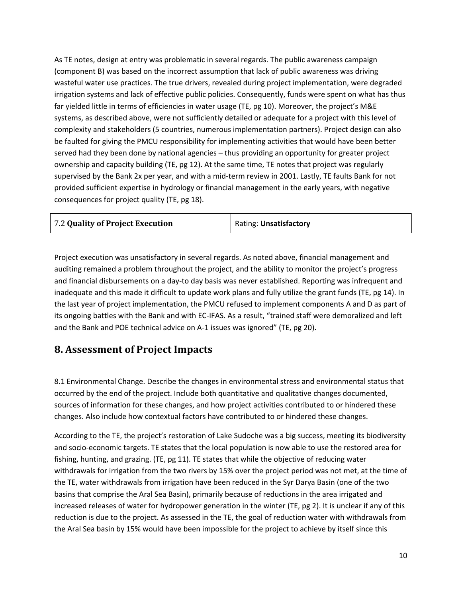As TE notes, design at entry was problematic in several regards. The public awareness campaign (component B) was based on the incorrect assumption that lack of public awareness was driving wasteful water use practices. The true drivers, revealed during project implementation, were degraded irrigation systems and lack of effective public policies. Consequently, funds were spent on what has thus far yielded little in terms of efficiencies in water usage (TE, pg 10). Moreover, the project's M&E systems, as described above, were not sufficiently detailed or adequate for a project with this level of complexity and stakeholders (5 countries, numerous implementation partners). Project design can also be faulted for giving the PMCU responsibility for implementing activities that would have been better served had they been done by national agencies – thus providing an opportunity for greater project ownership and capacity building (TE, pg 12). At the same time, TE notes that project was regularly supervised by the Bank 2x per year, and with a mid-term review in 2001. Lastly, TE faults Bank for not provided sufficient expertise in hydrology or financial management in the early years, with negative consequences for project quality (TE, pg 18).

| 7.2 Quality of Project Execution | Rating: Unsatisfactory |
|----------------------------------|------------------------|
|                                  |                        |

Project execution was unsatisfactory in several regards. As noted above, financial management and auditing remained a problem throughout the project, and the ability to monitor the project's progress and financial disbursements on a day-to day basis was never established. Reporting was infrequent and inadequate and this made it difficult to update work plans and fully utilize the grant funds (TE, pg 14). In the last year of project implementation, the PMCU refused to implement components A and D as part of its ongoing battles with the Bank and with EC-IFAS. As a result, "trained staff were demoralized and left and the Bank and POE technical advice on A-1 issues was ignored" (TE, pg 20).

### **8. Assessment of Project Impacts**

8.1 Environmental Change. Describe the changes in environmental stress and environmental status that occurred by the end of the project. Include both quantitative and qualitative changes documented, sources of information for these changes, and how project activities contributed to or hindered these changes. Also include how contextual factors have contributed to or hindered these changes.

According to the TE, the project's restoration of Lake Sudoche was a big success, meeting its biodiversity and socio-economic targets. TE states that the local population is now able to use the restored area for fishing, hunting, and grazing. (TE, pg 11). TE states that while the objective of reducing water withdrawals for irrigation from the two rivers by 15% over the project period was not met, at the time of the TE, water withdrawals from irrigation have been reduced in the Syr Darya Basin (one of the two basins that comprise the Aral Sea Basin), primarily because of reductions in the area irrigated and increased releases of water for hydropower generation in the winter (TE, pg 2). It is unclear if any of this reduction is due to the project. As assessed in the TE, the goal of reduction water with withdrawals from the Aral Sea basin by 15% would have been impossible for the project to achieve by itself since this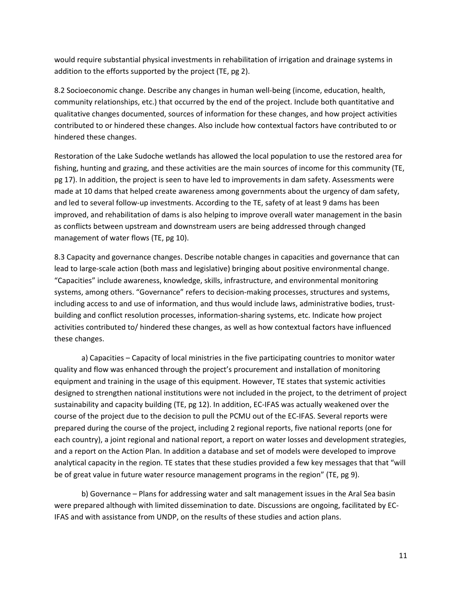would require substantial physical investments in rehabilitation of irrigation and drainage systems in addition to the efforts supported by the project (TE, pg 2).

8.2 Socioeconomic change. Describe any changes in human well-being (income, education, health, community relationships, etc.) that occurred by the end of the project. Include both quantitative and qualitative changes documented, sources of information for these changes, and how project activities contributed to or hindered these changes. Also include how contextual factors have contributed to or hindered these changes.

Restoration of the Lake Sudoche wetlands has allowed the local population to use the restored area for fishing, hunting and grazing, and these activities are the main sources of income for this community (TE, pg 17). In addition, the project is seen to have led to improvements in dam safety. Assessments were made at 10 dams that helped create awareness among governments about the urgency of dam safety, and led to several follow-up investments. According to the TE, safety of at least 9 dams has been improved, and rehabilitation of dams is also helping to improve overall water management in the basin as conflicts between upstream and downstream users are being addressed through changed management of water flows (TE, pg 10).

8.3 Capacity and governance changes. Describe notable changes in capacities and governance that can lead to large-scale action (both mass and legislative) bringing about positive environmental change. "Capacities" include awareness, knowledge, skills, infrastructure, and environmental monitoring systems, among others. "Governance" refers to decision-making processes, structures and systems, including access to and use of information, and thus would include laws, administrative bodies, trustbuilding and conflict resolution processes, information-sharing systems, etc. Indicate how project activities contributed to/ hindered these changes, as well as how contextual factors have influenced these changes.

a) Capacities – Capacity of local ministries in the five participating countries to monitor water quality and flow was enhanced through the project's procurement and installation of monitoring equipment and training in the usage of this equipment. However, TE states that systemic activities designed to strengthen national institutions were not included in the project, to the detriment of project sustainability and capacity building (TE, pg 12). In addition, EC-IFAS was actually weakened over the course of the project due to the decision to pull the PCMU out of the EC-IFAS. Several reports were prepared during the course of the project, including 2 regional reports, five national reports (one for each country), a joint regional and national report, a report on water losses and development strategies, and a report on the Action Plan. In addition a database and set of models were developed to improve analytical capacity in the region. TE states that these studies provided a few key messages that that "will be of great value in future water resource management programs in the region" (TE, pg 9).

b) Governance – Plans for addressing water and salt management issues in the Aral Sea basin were prepared although with limited dissemination to date. Discussions are ongoing, facilitated by EC-IFAS and with assistance from UNDP, on the results of these studies and action plans.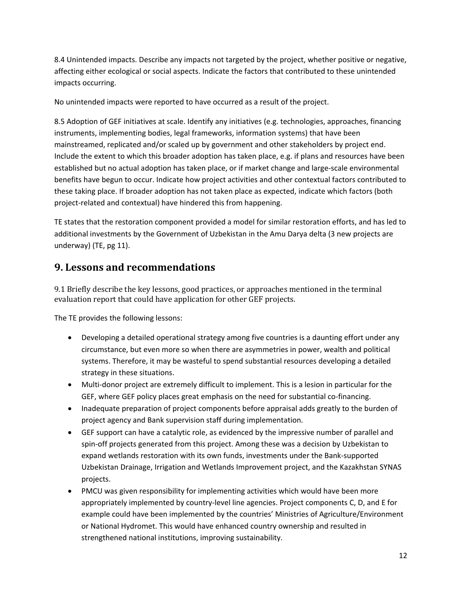8.4 Unintended impacts. Describe any impacts not targeted by the project, whether positive or negative, affecting either ecological or social aspects. Indicate the factors that contributed to these unintended impacts occurring.

No unintended impacts were reported to have occurred as a result of the project.

8.5 Adoption of GEF initiatives at scale. Identify any initiatives (e.g. technologies, approaches, financing instruments, implementing bodies, legal frameworks, information systems) that have been mainstreamed, replicated and/or scaled up by government and other stakeholders by project end. Include the extent to which this broader adoption has taken place, e.g. if plans and resources have been established but no actual adoption has taken place, or if market change and large-scale environmental benefits have begun to occur. Indicate how project activities and other contextual factors contributed to these taking place. If broader adoption has not taken place as expected, indicate which factors (both project-related and contextual) have hindered this from happening.

TE states that the restoration component provided a model for similar restoration efforts, and has led to additional investments by the Government of Uzbekistan in the Amu Darya delta (3 new projects are underway) (TE, pg 11).

## **9. Lessons and recommendations**

9.1 Briefly describe the key lessons, good practices, or approaches mentioned in the terminal evaluation report that could have application for other GEF projects.

The TE provides the following lessons:

- Developing a detailed operational strategy among five countries is a daunting effort under any circumstance, but even more so when there are asymmetries in power, wealth and political systems. Therefore, it may be wasteful to spend substantial resources developing a detailed strategy in these situations.
- Multi-donor project are extremely difficult to implement. This is a lesion in particular for the GEF, where GEF policy places great emphasis on the need for substantial co-financing.
- Inadequate preparation of project components before appraisal adds greatly to the burden of project agency and Bank supervision staff during implementation.
- GEF support can have a catalytic role, as evidenced by the impressive number of parallel and spin-off projects generated from this project. Among these was a decision by Uzbekistan to expand wetlands restoration with its own funds, investments under the Bank-supported Uzbekistan Drainage, Irrigation and Wetlands Improvement project, and the Kazakhstan SYNAS projects.
- PMCU was given responsibility for implementing activities which would have been more appropriately implemented by country-level line agencies. Project components C, D, and E for example could have been implemented by the countries' Ministries of Agriculture/Environment or National Hydromet. This would have enhanced country ownership and resulted in strengthened national institutions, improving sustainability.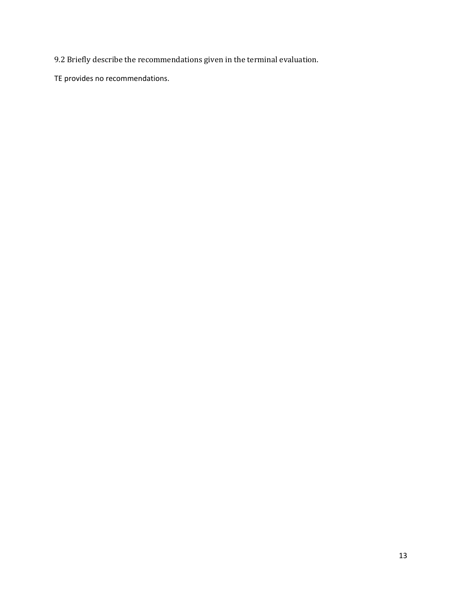9.2 Briefly describe the recommendations given in the terminal evaluation.

TE provides no recommendations.